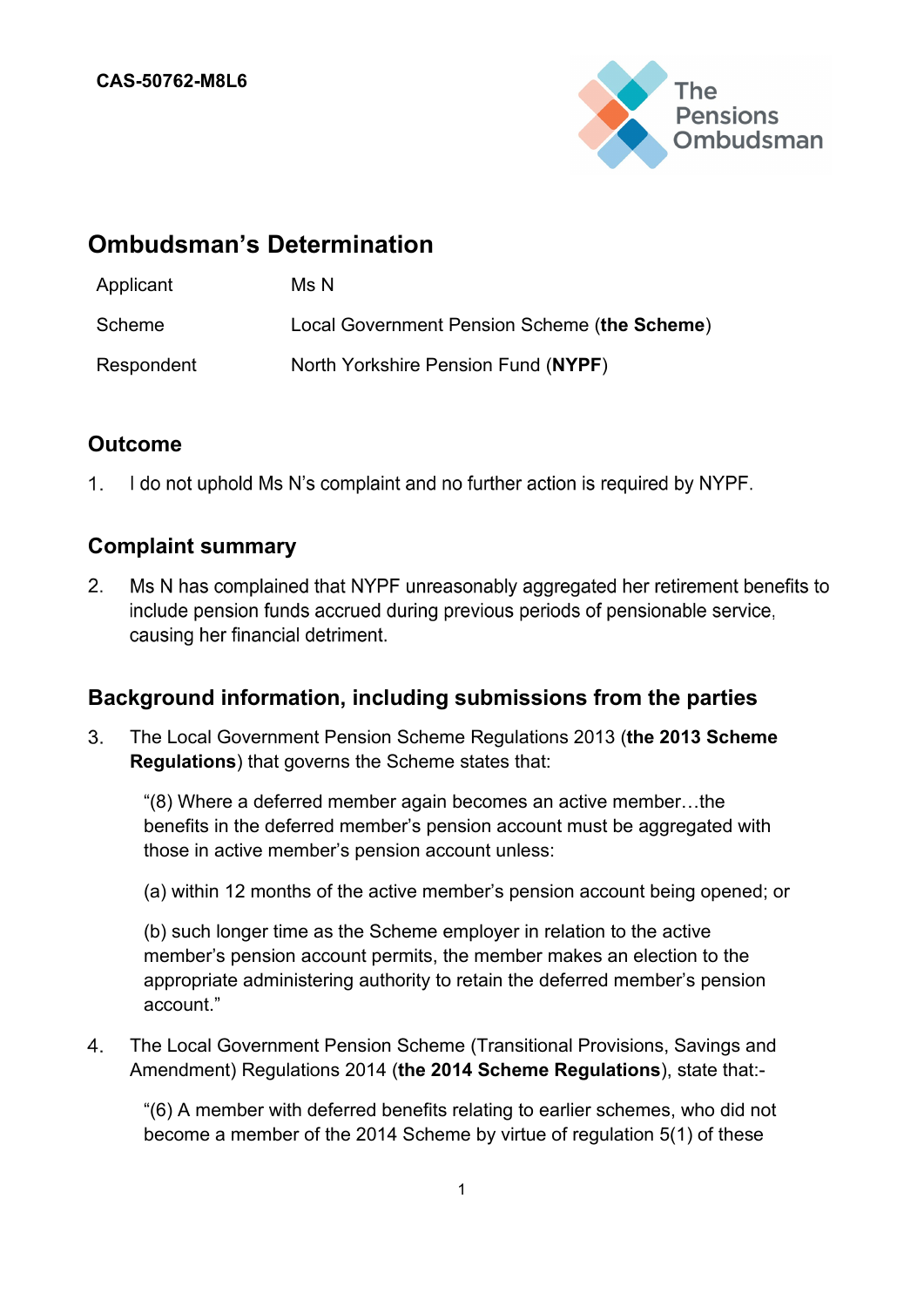

# **Ombudsman's Determination**

| Applicant  | Ms N                                         |
|------------|----------------------------------------------|
| Scheme     | Local Government Pension Scheme (the Scheme) |
| Respondent | North Yorkshire Pension Fund (NYPF)          |

## **Outcome**

 $1<sup>1</sup>$ I do not uphold Ms N's complaint and no further action is required by NYPF.

### **Complaint summary**

 $2.$ Ms N has complained that NYPF unreasonably aggregated her retirement benefits to include pension funds accrued during previous periods of pensionable service, causing her financial detriment.

### **Background information, including submissions from the parties**

3. The Local Government Pension Scheme Regulations 2013 (**the 2013 Scheme Regulations**) that governs the Scheme states that:

"(8) Where a deferred member again becomes an active member…the benefits in the deferred member's pension account must be aggregated with those in active member's pension account unless:

(a) within 12 months of the active member's pension account being opened; or

(b) such longer time as the Scheme employer in relation to the active member's pension account permits, the member makes an election to the appropriate administering authority to retain the deferred member's pension account."

 $4.$ The Local Government Pension Scheme (Transitional Provisions, Savings and Amendment) Regulations 2014 (**the 2014 Scheme Regulations**), state that:-

"(6) A member with deferred benefits relating to earlier schemes, who did not become a member of the 2014 Scheme by virtue of regulation 5(1) of these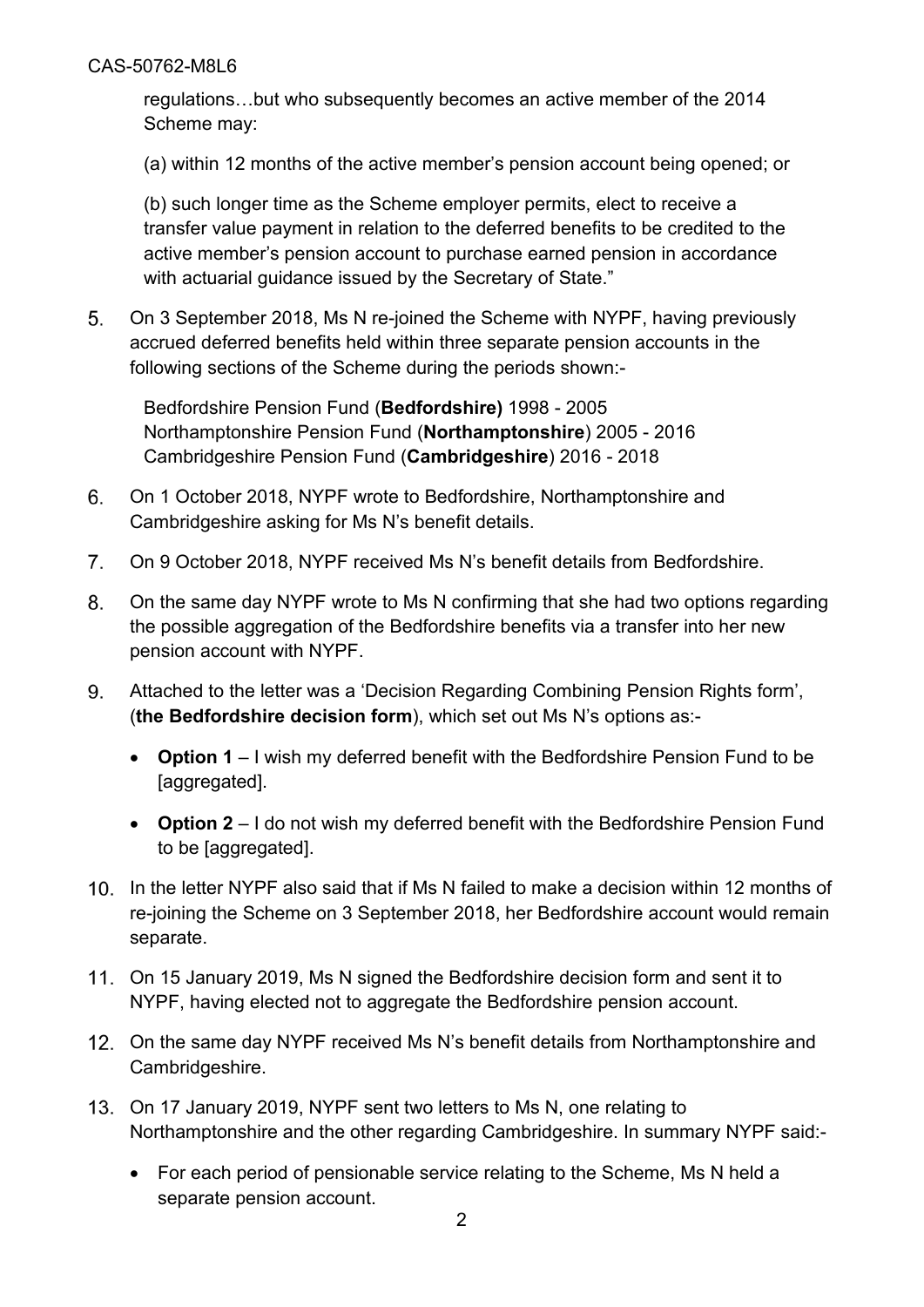regulations…but who subsequently becomes an active member of the 2014 Scheme may:

(a) within 12 months of the active member's pension account being opened; or

(b) such longer time as the Scheme employer permits, elect to receive a transfer value payment in relation to the deferred benefits to be credited to the active member's pension account to purchase earned pension in accordance with actuarial guidance issued by the Secretary of State."

 $5<sub>1</sub>$ On 3 September 2018, Ms N re-joined the Scheme with NYPF, having previously accrued deferred benefits held within three separate pension accounts in the following sections of the Scheme during the periods shown:-

Bedfordshire Pension Fund (**Bedfordshire)** 1998 - 2005 Northamptonshire Pension Fund (**Northamptonshire**) 2005 - 2016 Cambridgeshire Pension Fund (**Cambridgeshire**) 2016 - 2018

- 6. On 1 October 2018, NYPF wrote to Bedfordshire, Northamptonshire and Cambridgeshire asking for Ms N's benefit details.
- $7<sup>1</sup>$ On 9 October 2018, NYPF received Ms N's benefit details from Bedfordshire.
- 8. On the same day NYPF wrote to Ms N confirming that she had two options regarding the possible aggregation of the Bedfordshire benefits via a transfer into her new pension account with NYPF.
- 9. Attached to the letter was a 'Decision Regarding Combining Pension Rights form', (**the Bedfordshire decision form**), which set out Ms N's options as:-
	- **Option 1** I wish my deferred benefit with the Bedfordshire Pension Fund to be [aggregated].
	- **Option 2** I do not wish my deferred benefit with the Bedfordshire Pension Fund to be [aggregated].
- 10. In the letter NYPF also said that if Ms N failed to make a decision within 12 months of re-joining the Scheme on 3 September 2018, her Bedfordshire account would remain separate.
- On 15 January 2019, Ms N signed the Bedfordshire decision form and sent it to NYPF, having elected not to aggregate the Bedfordshire pension account.
- On the same day NYPF received Ms N's benefit details from Northamptonshire and Cambridgeshire.
- On 17 January 2019, NYPF sent two letters to Ms N, one relating to Northamptonshire and the other regarding Cambridgeshire. In summary NYPF said:-
	- For each period of pensionable service relating to the Scheme, Ms N held a separate pension account.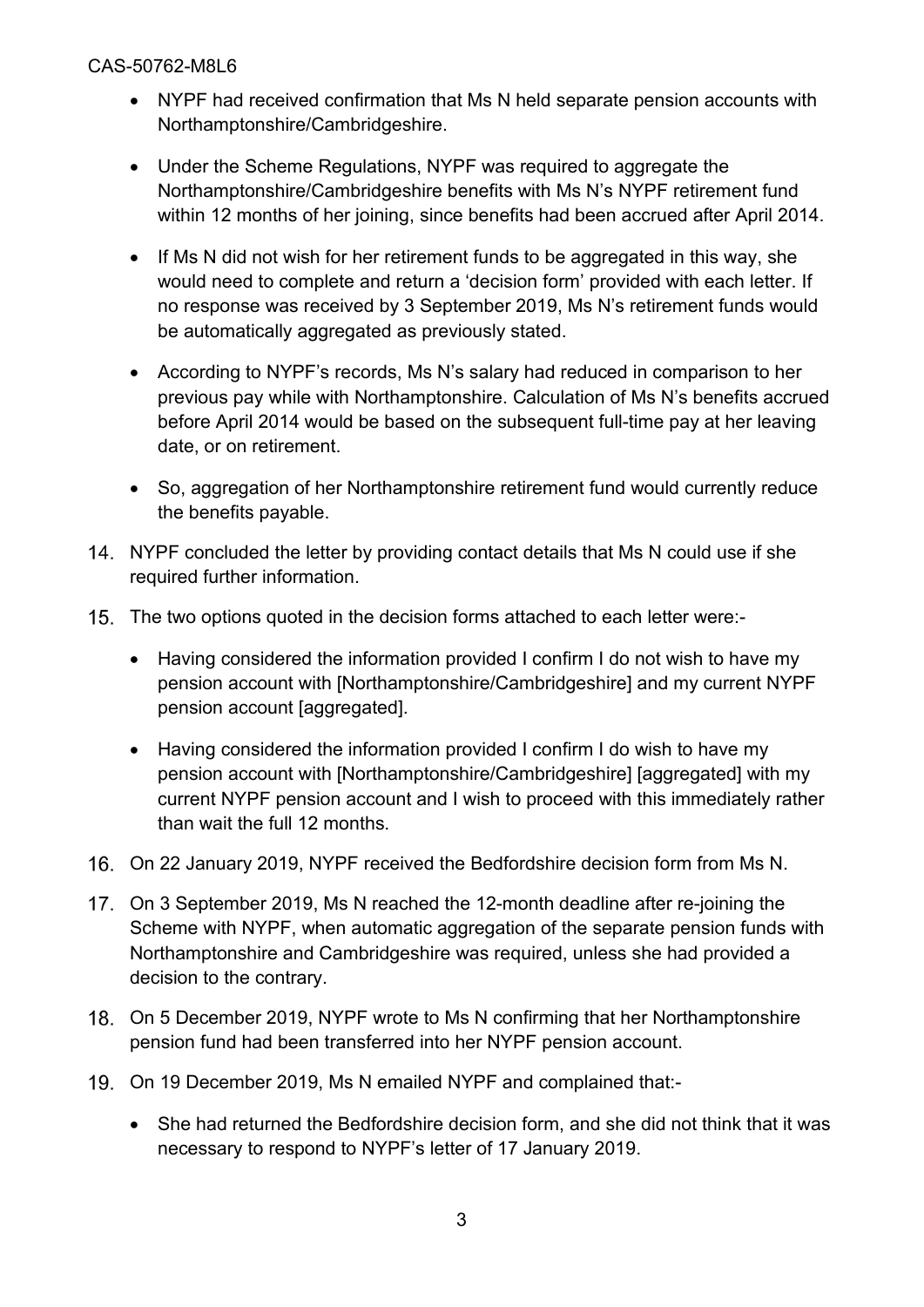- NYPF had received confirmation that Ms N held separate pension accounts with Northamptonshire/Cambridgeshire.
- Under the Scheme Regulations, NYPF was required to aggregate the Northamptonshire/Cambridgeshire benefits with Ms N's NYPF retirement fund within 12 months of her joining, since benefits had been accrued after April 2014.
- If Ms N did not wish for her retirement funds to be aggregated in this way, she would need to complete and return a 'decision form' provided with each letter. If no response was received by 3 September 2019, Ms N's retirement funds would be automatically aggregated as previously stated.
- According to NYPF's records, Ms N's salary had reduced in comparison to her previous pay while with Northamptonshire. Calculation of Ms N's benefits accrued before April 2014 would be based on the subsequent full-time pay at her leaving date, or on retirement.
- So, aggregation of her Northamptonshire retirement fund would currently reduce the benefits payable.
- 14. NYPF concluded the letter by providing contact details that Ms N could use if she required further information.
- 15. The two options quoted in the decision forms attached to each letter were:-
	- Having considered the information provided I confirm I do not wish to have my pension account with [Northamptonshire/Cambridgeshire] and my current NYPF pension account [aggregated].
	- Having considered the information provided I confirm I do wish to have my pension account with [Northamptonshire/Cambridgeshire] [aggregated] with my current NYPF pension account and I wish to proceed with this immediately rather than wait the full 12 months.
- On 22 January 2019, NYPF received the Bedfordshire decision form from Ms N.
- On 3 September 2019, Ms N reached the 12-month deadline after re-joining the Scheme with NYPF, when automatic aggregation of the separate pension funds with Northamptonshire and Cambridgeshire was required, unless she had provided a decision to the contrary.
- On 5 December 2019, NYPF wrote to Ms N confirming that her Northamptonshire pension fund had been transferred into her NYPF pension account.
- 19. On 19 December 2019, Ms N emailed NYPF and complained that:-
	- She had returned the Bedfordshire decision form, and she did not think that it was necessary to respond to NYPF's letter of 17 January 2019.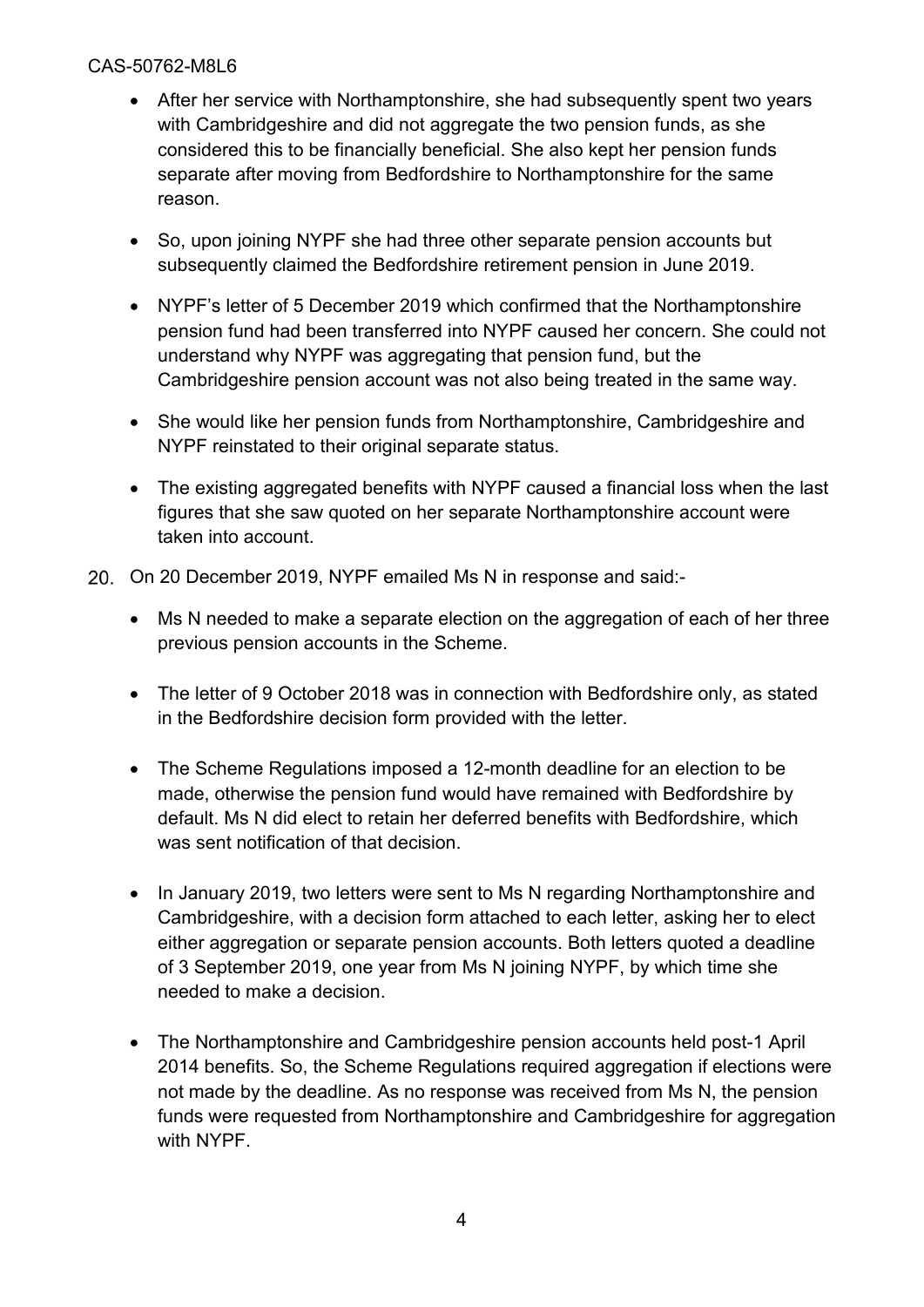- After her service with Northamptonshire, she had subsequently spent two years with Cambridgeshire and did not aggregate the two pension funds, as she considered this to be financially beneficial. She also kept her pension funds separate after moving from Bedfordshire to Northamptonshire for the same reason.
- So, upon joining NYPF she had three other separate pension accounts but subsequently claimed the Bedfordshire retirement pension in June 2019.
- NYPF's letter of 5 December 2019 which confirmed that the Northamptonshire pension fund had been transferred into NYPF caused her concern. She could not understand why NYPF was aggregating that pension fund, but the Cambridgeshire pension account was not also being treated in the same way.
- She would like her pension funds from Northamptonshire, Cambridgeshire and NYPF reinstated to their original separate status.
- The existing aggregated benefits with NYPF caused a financial loss when the last figures that she saw quoted on her separate Northamptonshire account were taken into account.
- 20. On 20 December 2019, NYPF emailed Ms N in response and said:-
	- Ms N needed to make a separate election on the aggregation of each of her three previous pension accounts in the Scheme.
	- The letter of 9 October 2018 was in connection with Bedfordshire only, as stated in the Bedfordshire decision form provided with the letter.
	- The Scheme Regulations imposed a 12-month deadline for an election to be made, otherwise the pension fund would have remained with Bedfordshire by default. Ms N did elect to retain her deferred benefits with Bedfordshire, which was sent notification of that decision.
	- In January 2019, two letters were sent to Ms N regarding Northamptonshire and Cambridgeshire, with a decision form attached to each letter, asking her to elect either aggregation or separate pension accounts. Both letters quoted a deadline of 3 September 2019, one year from Ms N joining NYPF, by which time she needed to make a decision.
	- The Northamptonshire and Cambridgeshire pension accounts held post-1 April 2014 benefits. So, the Scheme Regulations required aggregation if elections were not made by the deadline. As no response was received from Ms N, the pension funds were requested from Northamptonshire and Cambridgeshire for aggregation with NYPF.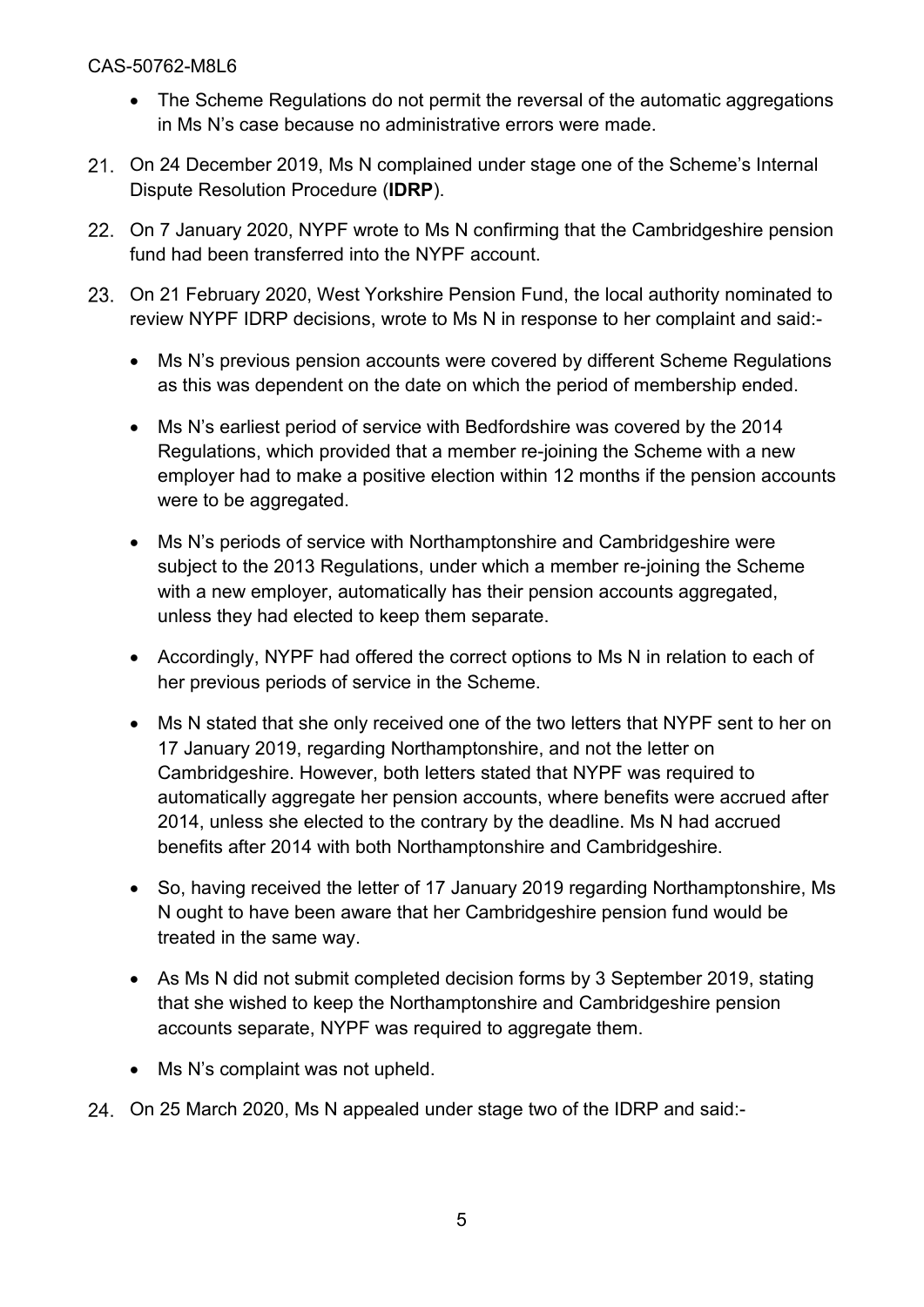- The Scheme Regulations do not permit the reversal of the automatic aggregations in Ms N's case because no administrative errors were made.
- On 24 December 2019, Ms N complained under stage one of the Scheme's Internal Dispute Resolution Procedure (**IDRP**).
- 22. On 7 January 2020, NYPF wrote to Ms N confirming that the Cambridgeshire pension fund had been transferred into the NYPF account.
- On 21 February 2020, West Yorkshire Pension Fund, the local authority nominated to review NYPF IDRP decisions, wrote to Ms N in response to her complaint and said:-
	- Ms N's previous pension accounts were covered by different Scheme Regulations as this was dependent on the date on which the period of membership ended.
	- Ms N's earliest period of service with Bedfordshire was covered by the 2014 Regulations, which provided that a member re-joining the Scheme with a new employer had to make a positive election within 12 months if the pension accounts were to be aggregated.
	- Ms N's periods of service with Northamptonshire and Cambridgeshire were subject to the 2013 Regulations, under which a member re-joining the Scheme with a new employer, automatically has their pension accounts aggregated, unless they had elected to keep them separate.
	- Accordingly, NYPF had offered the correct options to Ms N in relation to each of her previous periods of service in the Scheme.
	- Ms N stated that she only received one of the two letters that NYPF sent to her on 17 January 2019, regarding Northamptonshire, and not the letter on Cambridgeshire. However, both letters stated that NYPF was required to automatically aggregate her pension accounts, where benefits were accrued after 2014, unless she elected to the contrary by the deadline. Ms N had accrued benefits after 2014 with both Northamptonshire and Cambridgeshire.
	- So, having received the letter of 17 January 2019 regarding Northamptonshire, Ms N ought to have been aware that her Cambridgeshire pension fund would be treated in the same way.
	- As Ms N did not submit completed decision forms by 3 September 2019, stating that she wished to keep the Northamptonshire and Cambridgeshire pension accounts separate, NYPF was required to aggregate them.
	- Ms N's complaint was not upheld.
- On 25 March 2020, Ms N appealed under stage two of the IDRP and said:-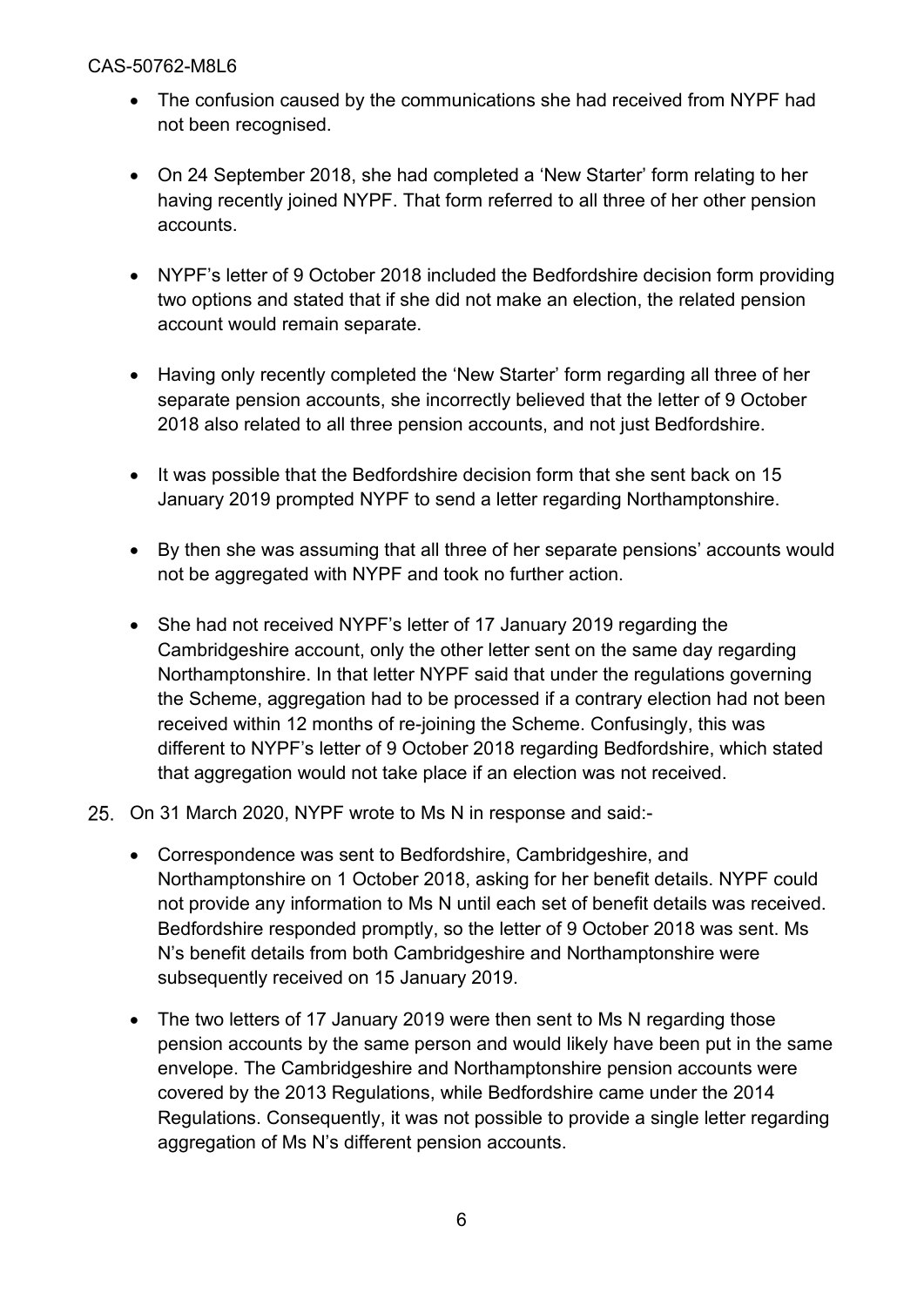- The confusion caused by the communications she had received from NYPF had not been recognised.
- On 24 September 2018, she had completed a 'New Starter' form relating to her having recently joined NYPF. That form referred to all three of her other pension accounts.
- NYPF's letter of 9 October 2018 included the Bedfordshire decision form providing two options and stated that if she did not make an election, the related pension account would remain separate.
- Having only recently completed the 'New Starter' form regarding all three of her separate pension accounts, she incorrectly believed that the letter of 9 October 2018 also related to all three pension accounts, and not just Bedfordshire.
- It was possible that the Bedfordshire decision form that she sent back on 15 January 2019 prompted NYPF to send a letter regarding Northamptonshire.
- By then she was assuming that all three of her separate pensions' accounts would not be aggregated with NYPF and took no further action.
- She had not received NYPF's letter of 17 January 2019 regarding the Cambridgeshire account, only the other letter sent on the same day regarding Northamptonshire. In that letter NYPF said that under the regulations governing the Scheme, aggregation had to be processed if a contrary election had not been received within 12 months of re-joining the Scheme. Confusingly, this was different to NYPF's letter of 9 October 2018 regarding Bedfordshire, which stated that aggregation would not take place if an election was not received.
- On 31 March 2020, NYPF wrote to Ms N in response and said:-
	- Correspondence was sent to Bedfordshire, Cambridgeshire, and Northamptonshire on 1 October 2018, asking for her benefit details. NYPF could not provide any information to Ms N until each set of benefit details was received. Bedfordshire responded promptly, so the letter of 9 October 2018 was sent. Ms N's benefit details from both Cambridgeshire and Northamptonshire were subsequently received on 15 January 2019.
	- The two letters of 17 January 2019 were then sent to Ms N regarding those pension accounts by the same person and would likely have been put in the same envelope. The Cambridgeshire and Northamptonshire pension accounts were covered by the 2013 Regulations, while Bedfordshire came under the 2014 Regulations. Consequently, it was not possible to provide a single letter regarding aggregation of Ms N's different pension accounts.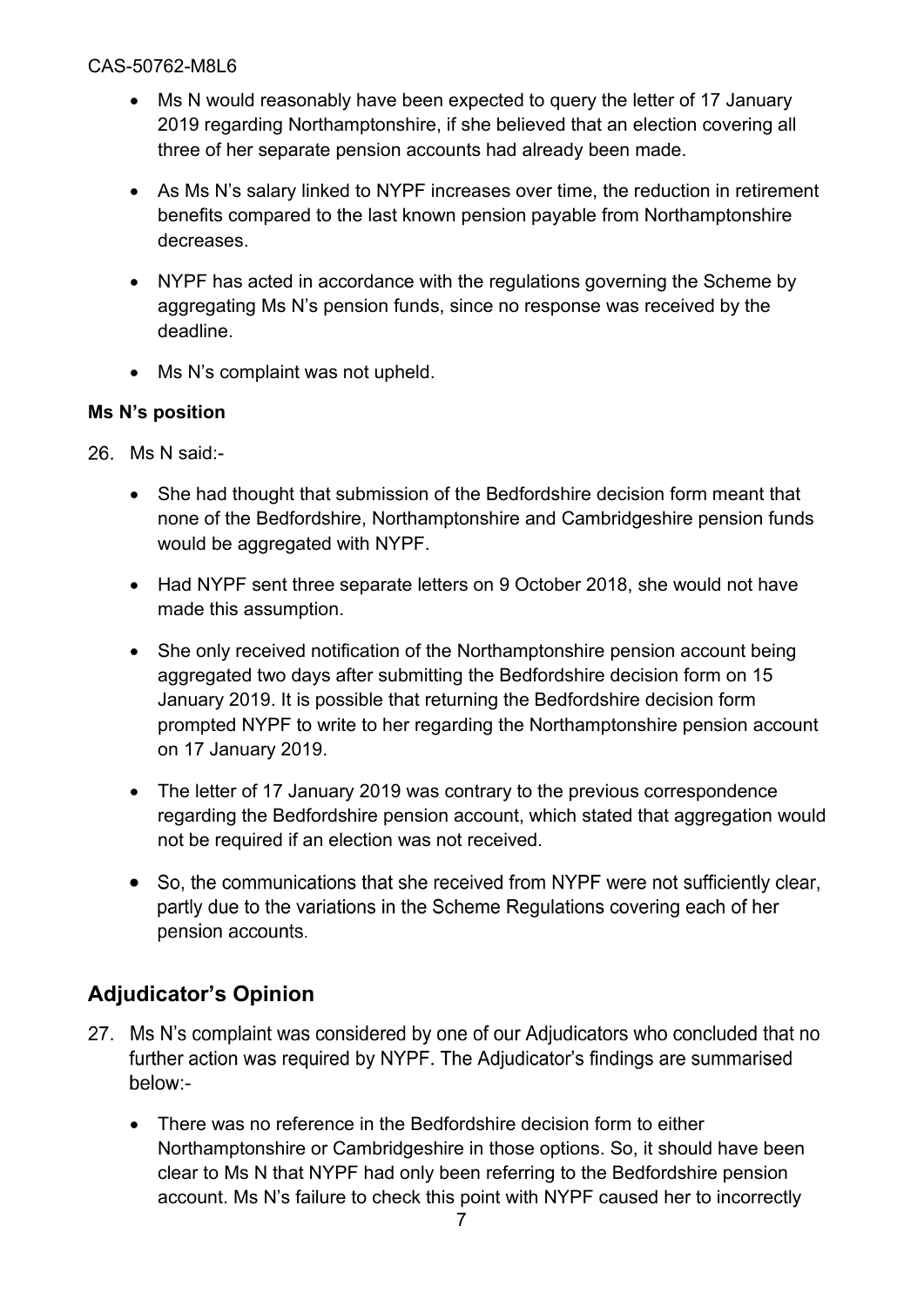- Ms N would reasonably have been expected to query the letter of 17 January 2019 regarding Northamptonshire, if she believed that an election covering all three of her separate pension accounts had already been made.
- As Ms N's salary linked to NYPF increases over time, the reduction in retirement benefits compared to the last known pension payable from Northamptonshire decreases.
- NYPF has acted in accordance with the regulations governing the Scheme by aggregating Ms N's pension funds, since no response was received by the deadline.
- Ms N's complaint was not upheld.

### **Ms N's position**

- 26. Ms N said:-
	- She had thought that submission of the Bedfordshire decision form meant that none of the Bedfordshire, Northamptonshire and Cambridgeshire pension funds would be aggregated with NYPF.
	- Had NYPF sent three separate letters on 9 October 2018, she would not have made this assumption.
	- She only received notification of the Northamptonshire pension account being aggregated two days after submitting the Bedfordshire decision form on 15 January 2019. It is possible that returning the Bedfordshire decision form prompted NYPF to write to her regarding the Northamptonshire pension account on 17 January 2019.
	- The letter of 17 January 2019 was contrary to the previous correspondence regarding the Bedfordshire pension account, which stated that aggregation would not be required if an election was not received.
	- So, the communications that she received from NYPF were not sufficiently clear, partly due to the variations in the Scheme Regulations covering each of her pension accounts.

# **Adjudicator's Opinion**

- 27. Ms N's complaint was considered by one of our Adjudicators who concluded that no further action was required by NYPF. The Adjudicator's findings are summarised below:-
	- There was no reference in the Bedfordshire decision form to either Northamptonshire or Cambridgeshire in those options. So, it should have been clear to Ms N that NYPF had only been referring to the Bedfordshire pension account. Ms N's failure to check this point with NYPF caused her to incorrectly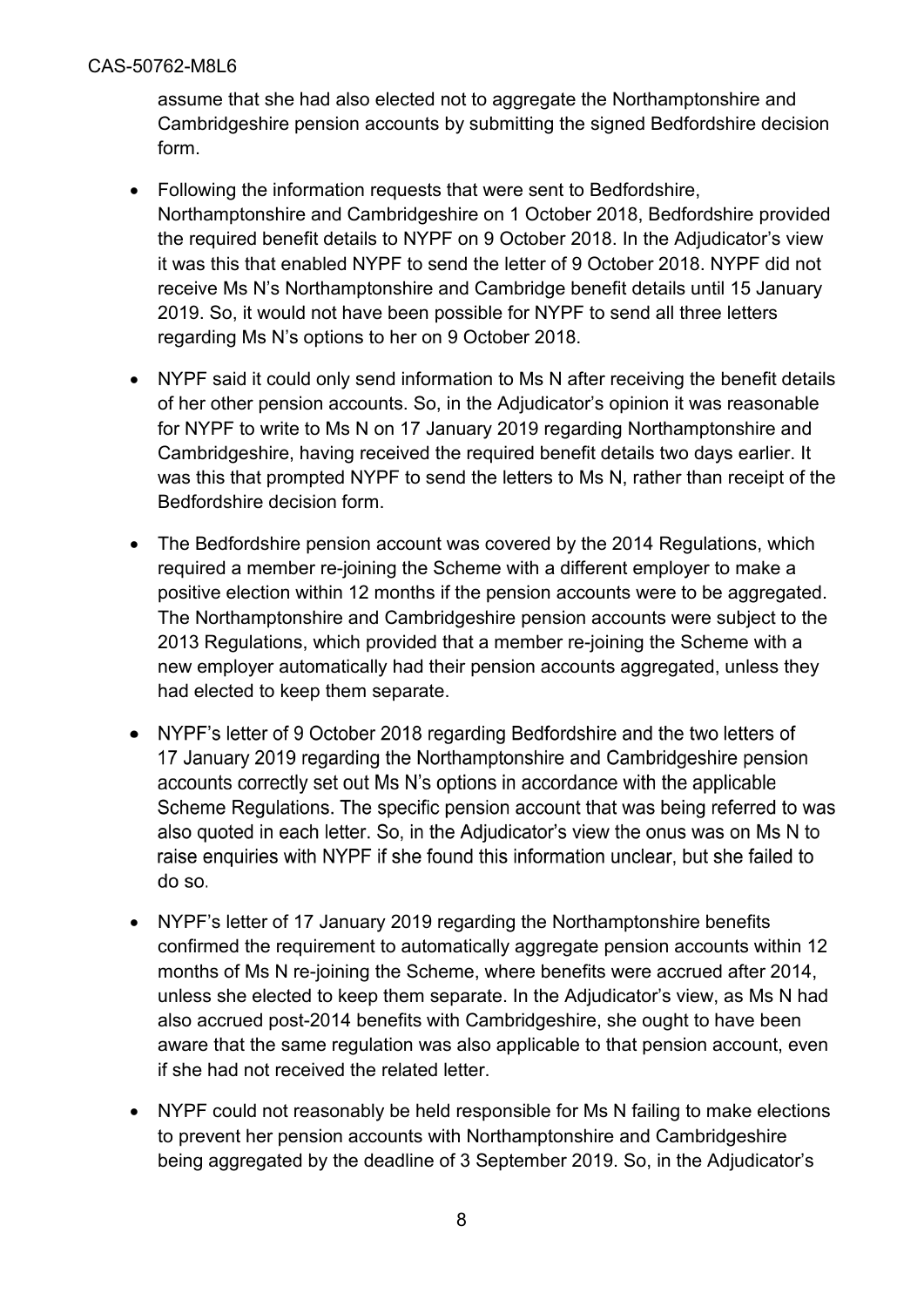assume that she had also elected not to aggregate the Northamptonshire and Cambridgeshire pension accounts by submitting the signed Bedfordshire decision form.

- Following the information requests that were sent to Bedfordshire, Northamptonshire and Cambridgeshire on 1 October 2018, Bedfordshire provided the required benefit details to NYPF on 9 October 2018. In the Adjudicator's view it was this that enabled NYPF to send the letter of 9 October 2018. NYPF did not receive Ms N's Northamptonshire and Cambridge benefit details until 15 January 2019. So, it would not have been possible for NYPF to send all three letters regarding Ms N's options to her on 9 October 2018.
- NYPF said it could only send information to Ms N after receiving the benefit details of her other pension accounts. So, in the Adjudicator's opinion it was reasonable for NYPF to write to Ms N on 17 January 2019 regarding Northamptonshire and Cambridgeshire, having received the required benefit details two days earlier. It was this that prompted NYPF to send the letters to Ms N, rather than receipt of the Bedfordshire decision form.
- The Bedfordshire pension account was covered by the 2014 Regulations, which required a member re-joining the Scheme with a different employer to make a positive election within 12 months if the pension accounts were to be aggregated. The Northamptonshire and Cambridgeshire pension accounts were subject to the 2013 Regulations, which provided that a member re-joining the Scheme with a new employer automatically had their pension accounts aggregated, unless they had elected to keep them separate.
- NYPF's letter of 9 October 2018 regarding Bedfordshire and the two letters of  $\bullet$ 17 January 2019 regarding the Northamptonshire and Cambridgeshire pension accounts correctly set out Ms N's options in accordance with the applicable Scheme Regulations. The specific pension account that was being referred to was also quoted in each letter. So, in the Adjudicator's view the onus was on Ms N to raise enquiries with NYPF if she found this information unclear, but she failed to do so.
- NYPF's letter of 17 January 2019 regarding the Northamptonshire benefits confirmed the requirement to automatically aggregate pension accounts within 12 months of Ms N re-joining the Scheme, where benefits were accrued after 2014, unless she elected to keep them separate. In the Adjudicator's view, as Ms N had also accrued post-2014 benefits with Cambridgeshire, she ought to have been aware that the same regulation was also applicable to that pension account, even if she had not received the related letter.
- NYPF could not reasonably be held responsible for Ms N failing to make elections to prevent her pension accounts with Northamptonshire and Cambridgeshire being aggregated by the deadline of 3 September 2019. So, in the Adjudicator's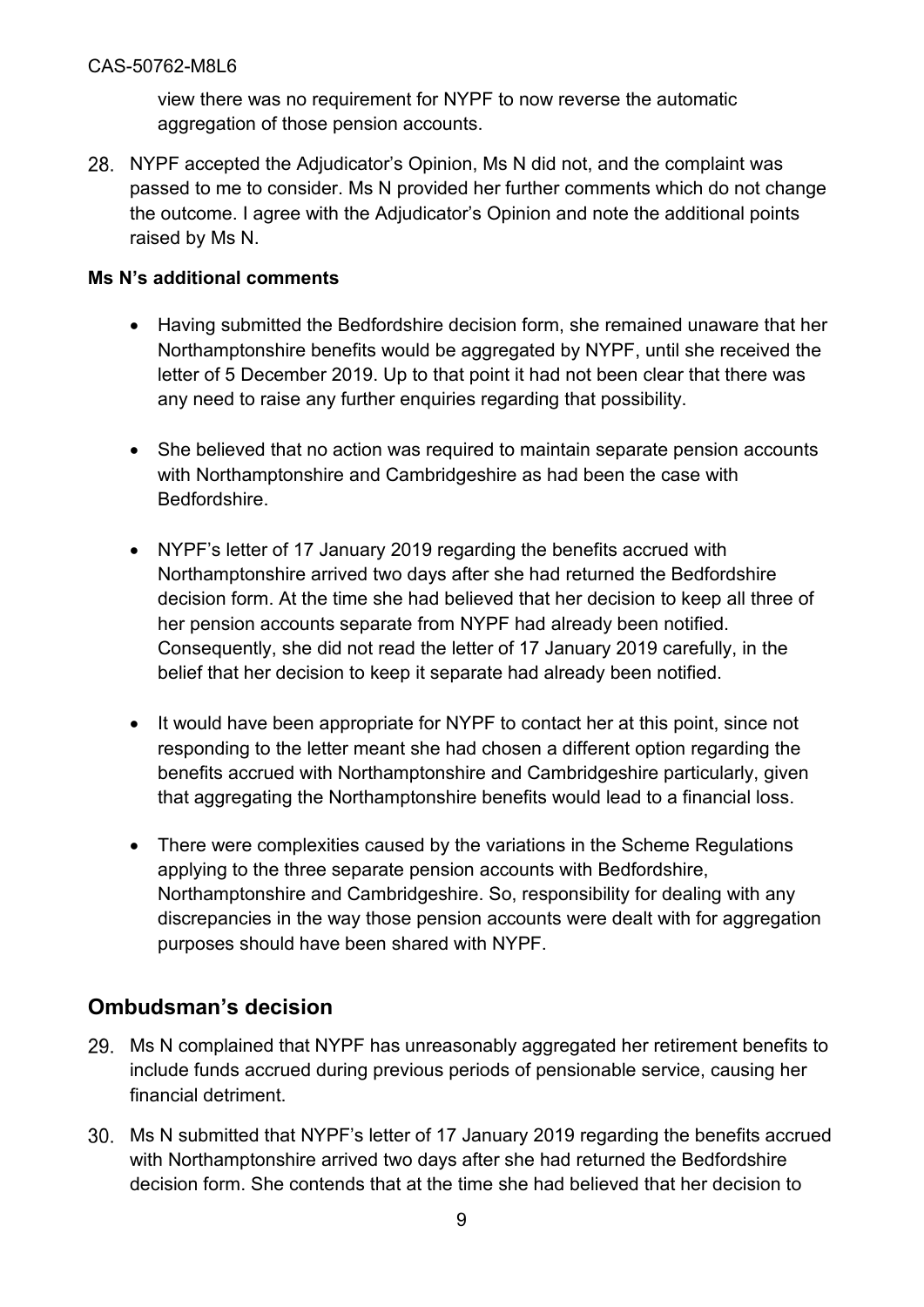view there was no requirement for NYPF to now reverse the automatic aggregation of those pension accounts.

NYPF accepted the Adjudicator's Opinion, Ms N did not, and the complaint was passed to me to consider. Ms N provided her further comments which do not change the outcome. I agree with the Adjudicator's Opinion and note the additional points raised by Ms N.

### **Ms N's additional comments**

- Having submitted the Bedfordshire decision form, she remained unaware that her Northamptonshire benefits would be aggregated by NYPF, until she received the letter of 5 December 2019. Up to that point it had not been clear that there was any need to raise any further enquiries regarding that possibility.
- She believed that no action was required to maintain separate pension accounts with Northamptonshire and Cambridgeshire as had been the case with Bedfordshire.
- NYPF's letter of 17 January 2019 regarding the benefits accrued with Northamptonshire arrived two days after she had returned the Bedfordshire decision form. At the time she had believed that her decision to keep all three of her pension accounts separate from NYPF had already been notified. Consequently, she did not read the letter of 17 January 2019 carefully, in the belief that her decision to keep it separate had already been notified.
- It would have been appropriate for NYPF to contact her at this point, since not responding to the letter meant she had chosen a different option regarding the benefits accrued with Northamptonshire and Cambridgeshire particularly, given that aggregating the Northamptonshire benefits would lead to a financial loss.
- There were complexities caused by the variations in the Scheme Regulations applying to the three separate pension accounts with Bedfordshire, Northamptonshire and Cambridgeshire. So, responsibility for dealing with any discrepancies in the way those pension accounts were dealt with for aggregation purposes should have been shared with NYPF.

## **Ombudsman's decision**

- 29. Ms N complained that NYPF has unreasonably aggregated her retirement benefits to include funds accrued during previous periods of pensionable service, causing her financial detriment.
- Ms N submitted that NYPF's letter of 17 January 2019 regarding the benefits accrued with Northamptonshire arrived two days after she had returned the Bedfordshire decision form. She contends that at the time she had believed that her decision to